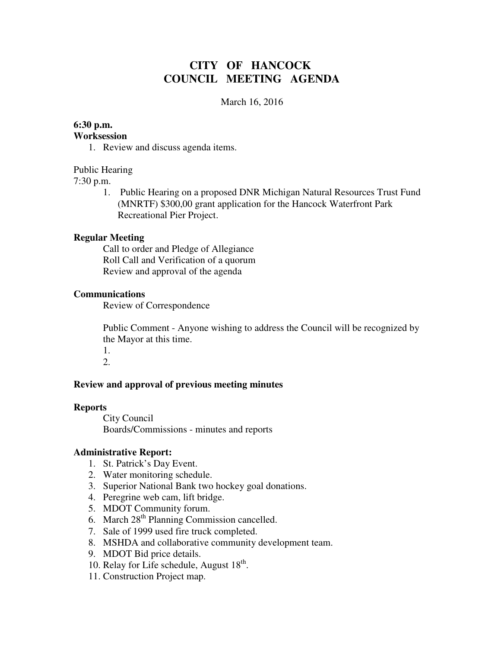# **CITY OF HANCOCK COUNCIL MEETING AGENDA**

#### March 16, 2016

### **6:30 p.m.**

#### **Worksession**

1. Review and discuss agenda items.

#### Public Hearing

7:30 p.m.

1. Public Hearing on a proposed DNR Michigan Natural Resources Trust Fund (MNRTF) \$300,00 grant application for the Hancock Waterfront Park Recreational Pier Project.

#### **Regular Meeting**

 Call to order and Pledge of Allegiance Roll Call and Verification of a quorum Review and approval of the agenda

#### **Communications**

Review of Correspondence

 Public Comment - Anyone wishing to address the Council will be recognized by the Mayor at this time.

1. 2.

### **Review and approval of previous meeting minutes**

#### **Reports**

City Council Boards/Commissions - minutes and reports

#### **Administrative Report:**

- 1. St. Patrick's Day Event.
- 2. Water monitoring schedule.
- 3. Superior National Bank two hockey goal donations.
- 4. Peregrine web cam, lift bridge.
- 5. MDOT Community forum.
- 6. March  $28<sup>th</sup>$  Planning Commission cancelled.
- 7. Sale of 1999 used fire truck completed.
- 8. MSHDA and collaborative community development team.
- 9. MDOT Bid price details.
- 10. Relay for Life schedule, August  $18^{th}$ .
- 11. Construction Project map.